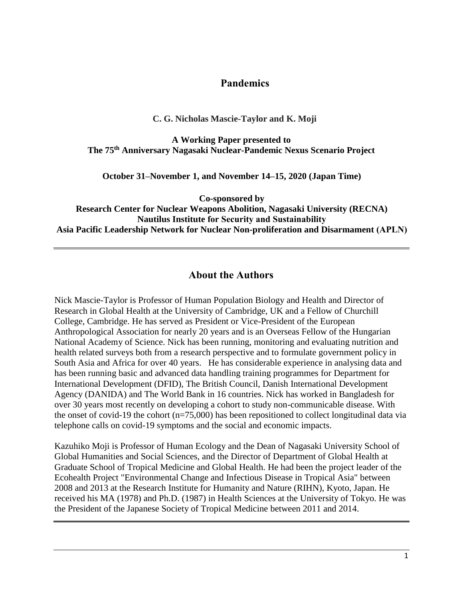## **Pandemics**

### **C. G. Nicholas Mascie-Taylor and K. Moji**

**A Working Paper presented to The 75th Anniversary Nagasaki Nuclear-Pandemic Nexus Scenario Project**

**October 31–November 1, and November 14–15, 2020 (Japan Time)**

**Co-sponsored by**

**Research Center for Nuclear Weapons Abolition, Nagasaki University (RECNA) Nautilus Institute for Security and Sustainability Asia Pacific Leadership Network for Nuclear Non-proliferation and Disarmament (APLN)**

## **About the Authors**

Nick Mascie-Taylor is Professor of Human Population Biology and Health and Director of Research in Global Health at the University of Cambridge, UK and a Fellow of Churchill College, Cambridge. He has served as President or Vice-President of the European Anthropological Association for nearly 20 years and is an Overseas Fellow of the Hungarian National Academy of Science. Nick has been running, monitoring and evaluating nutrition and health related surveys both from a research perspective and to formulate government policy in South Asia and Africa for over 40 years. He has considerable experience in analysing data and has been running basic and advanced data handling training programmes for Department for International Development (DFID), The British Council, Danish International Development Agency (DANIDA) and The World Bank in 16 countries. Nick has worked in Bangladesh for over 30 years most recently on developing a cohort to study non-communicable disease. With the onset of covid-19 the cohort (n=75,000) has been repositioned to collect longitudinal data via telephone calls on covid-19 symptoms and the social and economic impacts.

Kazuhiko Moji is Professor of Human Ecology and the Dean of Nagasaki University School of Global Humanities and Social Sciences, and the Director of Department of Global Health at Graduate School of Tropical Medicine and Global Health. He had been the project leader of the Ecohealth Project "Environmental Change and Infectious Disease in Tropical Asia" between 2008 and 2013 at the Research Institute for Humanity and Nature (RIHN), Kyoto, Japan. He received his MA (1978) and Ph.D. (1987) in Health Sciences at the University of Tokyo. He was the President of the Japanese Society of Tropical Medicine between 2011 and 2014.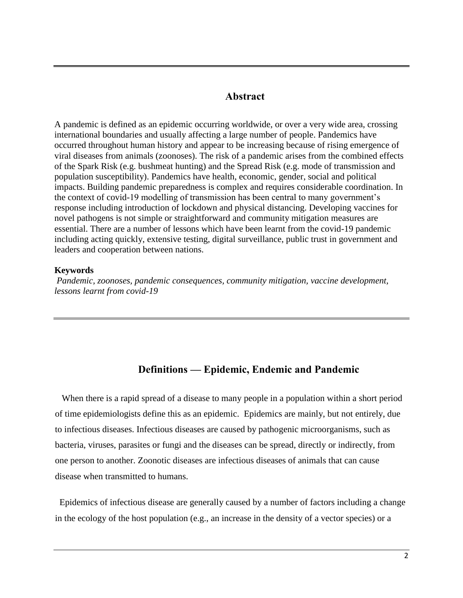## **Abstract**

A pandemic is defined as an epidemic occurring worldwide, or over a very wide area, crossing international boundaries and usually affecting a large number of people. Pandemics have occurred throughout human history and appear to be increasing because of rising emergence of viral diseases from animals (zoonoses). The risk of a pandemic arises from the combined effects of the Spark Risk (e.g. bushmeat hunting) and the Spread Risk (e.g. mode of transmission and population susceptibility). Pandemics have health, economic, gender, social and political impacts. Building pandemic preparedness is complex and requires considerable coordination. In the context of covid-19 modelling of transmission has been central to many government's response including introduction of lockdown and physical distancing. Developing vaccines for novel pathogens is not simple or straightforward and community mitigation measures are essential. There are a number of lessons which have been learnt from the covid-19 pandemic including acting quickly, extensive testing, digital surveillance, public trust in government and leaders and cooperation between nations.

#### **Keywords**

*Pandemic, zoonoses, pandemic consequences, community mitigation, vaccine development, lessons learnt from covid-19*

## **Definitions — Epidemic, Endemic and Pandemic**

When there is a rapid spread of a disease to many people in a population within a short period of time epidemiologists define this as an epidemic. Epidemics are mainly, but not entirely, due to infectious diseases. Infectious diseases are caused by pathogenic microorganisms, such as bacteria, viruses, parasites or fungi and the diseases can be spread, directly or indirectly, from one person to another. Zoonotic diseases are infectious diseases of animals that can cause disease when transmitted to humans.

Epidemics of infectious disease are generally caused by a number of factors including a change in the ecology of the host population (e.g., an increase in the density of a vector species) or a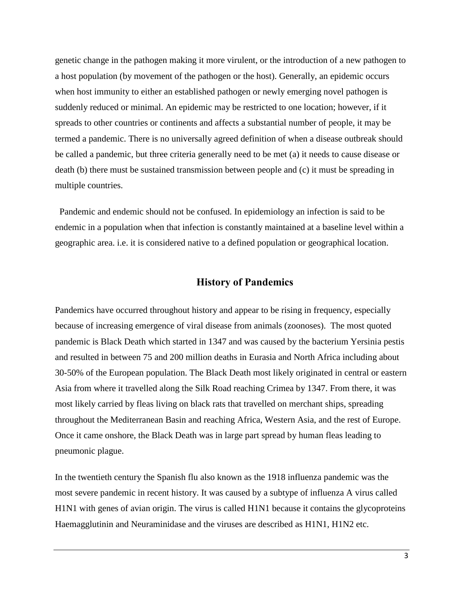genetic change in the pathogen making it more virulent, or the introduction of a new pathogen to a host population (by movement of the pathogen or the host). Generally, an epidemic occurs when host immunity to either an established pathogen or newly emerging novel pathogen is suddenly reduced or minimal. An epidemic may be restricted to one location; however, if it spreads to other countries or continents and affects a substantial number of people, it may be termed a pandemic. There is no universally agreed definition of when a disease outbreak should be called a pandemic, but three criteria generally need to be met (a) it needs to cause disease or death (b) there must be sustained transmission between people and (c) it must be spreading in multiple countries.

Pandemic and endemic should not be confused. In epidemiology an infection is said to be endemic in a population when that infection is constantly maintained at a baseline level within a geographic area. i.e. it is considered native to a defined population or geographical location.

## **History of Pandemics**

Pandemics have occurred throughout history and appear to be rising in frequency, especially because of increasing emergence of viral disease from animals (zoonoses). The most quoted pandemic is Black Death which started in 1347 and was caused by the bacterium Yersinia pestis and resulted in between 75 and 200 million deaths in Eurasia and North Africa including about 30-50% of the European population. The Black Death most likely originated in central or eastern Asia from where it travelled along the Silk Road reaching Crimea by 1347. From there, it was most likely carried by fleas living on black rats that travelled on merchant ships, spreading throughout the Mediterranean Basin and reaching Africa, Western Asia, and the rest of Europe. Once it came onshore, the Black Death was in large part spread by human fleas leading to pneumonic plague.

In the twentieth century the Spanish flu also known as the 1918 influenza pandemic was the most severe pandemic in recent history. It was caused by a subtype of influenza A virus called H1N1 with genes of avian origin. The virus is called H1N1 because it contains the glycoproteins Haemagglutinin and Neuraminidase and the viruses are described as H1N1, H1N2 etc.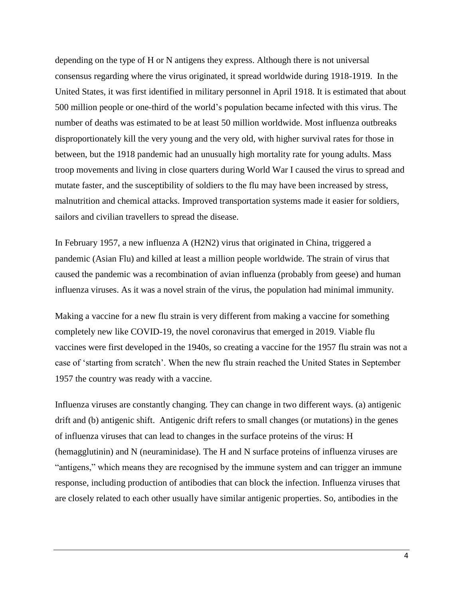depending on the type of H or N antigens they express. Although there is not universal consensus regarding where the virus originated, it spread worldwide during 1918-1919. In the United States, it was first identified in military personnel in April 1918. It is estimated that about 500 million people or one-third of the world's population became infected with this virus. The number of deaths was estimated to be at least 50 million worldwide. Most influenza outbreaks disproportionately kill the very young and the very old, with higher survival rates for those in between, but the 1918 pandemic had an unusually high mortality rate for young adults. Mass troop movements and living in close quarters during World War I caused the virus to spread and mutate faster, and the susceptibility of soldiers to the flu may have been increased by stress, malnutrition and chemical attacks. Improved transportation systems made it easier for soldiers, sailors and civilian travellers to spread the disease.

In February 1957, a new influenza A (H2N2) virus that originated in China, triggered a pandemic (Asian Flu) and killed at least a million people worldwide. The strain of virus that caused the pandemic was a recombination of avian influenza (probably from geese) and human influenza viruses. As it was a novel strain of the virus, the population had minimal immunity.

Making a vaccine for a new flu strain is very different from making a vaccine for something completely new like COVID-19, the novel coronavirus that emerged in 2019. Viable flu vaccines were first developed in the 1940s, so creating a vaccine for the 1957 flu strain was not a case of 'starting from scratch'. When the new flu strain reached the United States in September 1957 the country was ready with a vaccine.

Influenza viruses are constantly changing. They can change in two different ways. (a) antigenic drift and (b) antigenic shift. Antigenic drift refers to small changes (or mutations) in the genes of influenza viruses that can lead to changes in the surface proteins of the virus: H (hemagglutinin) and N (neuraminidase). The H and N surface proteins of influenza viruses are "antigens," which means they are recognised by the immune system and can trigger an immune response, including production of antibodies that can block the infection. Influenza viruses that are closely related to each other usually have similar antigenic properties. So, antibodies in the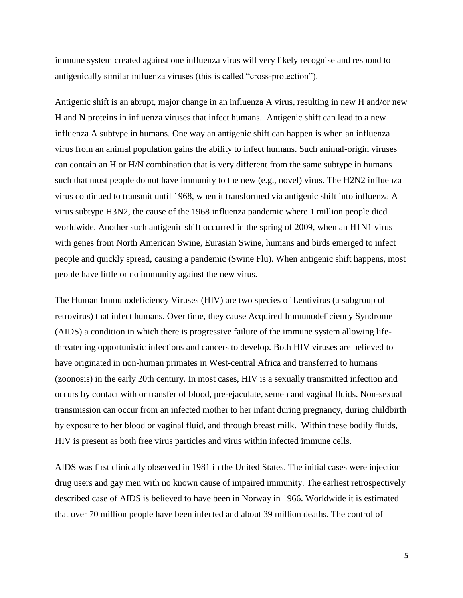immune system created against one influenza virus will very likely recognise and respond to antigenically similar influenza viruses (this is called "cross-protection").

Antigenic shift is an abrupt, major change in an influenza A virus, resulting in new H and/or new H and N proteins in influenza viruses that infect humans. Antigenic shift can lead to a new influenza A subtype in humans. One way an antigenic shift can happen is when an influenza virus from an animal population gains the ability to infect humans. Such animal-origin viruses can contain an H or H/N combination that is very different from the same subtype in humans such that most people do not have immunity to the new (e.g., novel) virus. The H2N2 influenza virus continued to transmit until 1968, when it transformed via antigenic shift into influenza A virus subtype H3N2, the cause of the 1968 influenza pandemic where 1 million people died worldwide. Another such antigenic shift occurred in the spring of 2009, when an H1N1 virus with genes from North American Swine, Eurasian Swine, humans and birds emerged to infect people and quickly spread, causing a pandemic (Swine Flu). When antigenic shift happens, most people have little or no immunity against the new virus.

The Human Immunodeficiency Viruses (HIV) are two species of Lentivirus (a subgroup of retrovirus) that infect humans. Over time, they cause Acquired Immunodeficiency Syndrome (AIDS) a condition in which there is progressive failure of the immune system allowing lifethreatening opportunistic infections and cancers to develop. Both HIV viruses are believed to have originated in non-human primates in West-central Africa and transferred to humans (zoonosis) in the early 20th century. In most cases, HIV is a sexually transmitted infection and occurs by contact with or transfer of blood, pre-ejaculate, semen and vaginal fluids. Non-sexual transmission can occur from an infected mother to her infant during pregnancy, during childbirth by exposure to her blood or vaginal fluid, and through breast milk. Within these bodily fluids, HIV is present as both free virus particles and virus within infected immune cells.

AIDS was first clinically observed in 1981 in the United States. The initial cases were injection drug users and gay men with no known cause of impaired immunity. The earliest retrospectively described case of AIDS is believed to have been in Norway in 1966. Worldwide it is estimated that over 70 million people have been infected and about 39 million deaths. The control of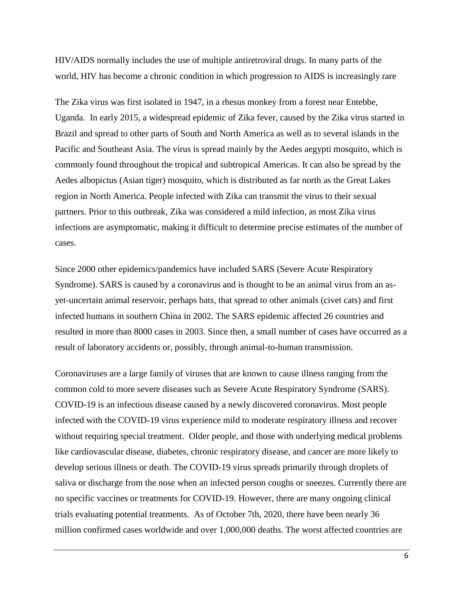HIV/AIDS normally includes the use of multiple antiretroviral drugs. In many parts of the world, HIV has become a chronic condition in which progression to AIDS is increasingly rare

The Zika virus was first isolated in 1947, in a rhesus monkey from a forest near Entebbe, Uganda. In early 2015, a widespread epidemic of Zika fever, caused by the Zika virus started in Brazil and spread to other parts of South and North America as well as to several islands in the Pacific and Southeast Asia. The virus is spread mainly by the Aedes aegypti mosquito, which is commonly found throughout the tropical and subtropical Americas. It can also be spread by the Aedes albopictus (Asian tiger) mosquito, which is distributed as far north as the Great Lakes region in North America. People infected with Zika can transmit the virus to their sexual partners. Prior to this outbreak, Zika was considered a mild infection, as most Zika virus infections are asymptomatic, making it difficult to determine precise estimates of the number of cases.

Since 2000 other epidemics/pandemics have included SARS (Severe Acute Respiratory Syndrome). SARS is caused by a coronavirus and is thought to be an animal virus from an asyet-uncertain animal reservoir, perhaps bats, that spread to other animals (civet cats) and first infected humans in southern China in 2002. The SARS epidemic affected 26 countries and resulted in more than 8000 cases in 2003. Since then, a small number of cases have occurred as a result of laboratory accidents or, possibly, through animal-to-human transmission.

Coronaviruses are a large family of viruses that are known to cause illness ranging from the common cold to more severe diseases such as Severe Acute Respiratory Syndrome (SARS). COVID-19 is an infectious disease caused by a newly discovered coronavirus. Most people infected with the COVID-19 virus experience mild to moderate respiratory illness and recover without requiring special treatment. Older people, and those with underlying medical problems like cardiovascular disease, diabetes, chronic respiratory disease, and cancer are more likely to develop serious illness or death. The COVID-19 virus spreads primarily through droplets of saliva or discharge from the nose when an infected person coughs or sneezes. Currently there are no specific vaccines or treatments for COVID-19. However, there are many ongoing clinical trials evaluating potential treatments. As of October 7th, 2020, there have been nearly 36 million confirmed cases worldwide and over 1,000,000 deaths. The worst affected countries are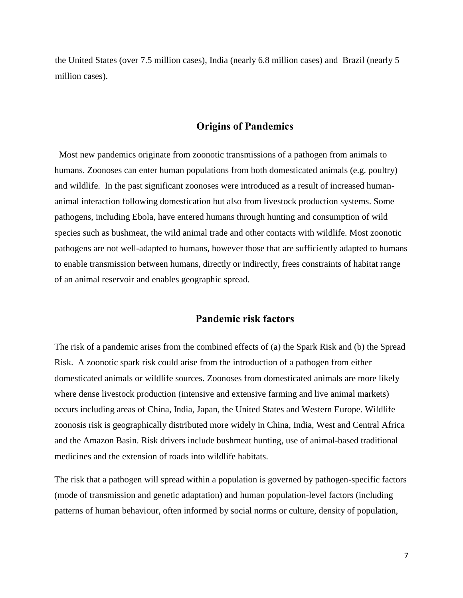the United States (over 7.5 million cases), India (nearly 6.8 million cases) and Brazil (nearly 5 million cases).

## **Origins of Pandemics**

Most new pandemics originate from zoonotic transmissions of a pathogen from animals to humans. Zoonoses can enter human populations from both domesticated animals (e.g. poultry) and wildlife. In the past significant zoonoses were introduced as a result of increased humananimal interaction following domestication but also from livestock production systems. Some pathogens, including Ebola, have entered humans through hunting and consumption of wild species such as bushmeat, the wild animal trade and other contacts with wildlife. Most zoonotic pathogens are not well-adapted to humans, however those that are sufficiently adapted to humans to enable transmission between humans, directly or indirectly, frees constraints of habitat range of an animal reservoir and enables geographic spread.

### **Pandemic risk factors**

The risk of a pandemic arises from the combined effects of (a) the Spark Risk and (b) the Spread Risk. A zoonotic spark risk could arise from the introduction of a pathogen from either domesticated animals or wildlife sources. Zoonoses from domesticated animals are more likely where dense livestock production (intensive and extensive farming and live animal markets) occurs including areas of China, India, Japan, the United States and Western Europe. Wildlife zoonosis risk is geographically distributed more widely in China, India, West and Central Africa and the Amazon Basin. Risk drivers include bushmeat hunting, use of animal-based traditional medicines and the extension of roads into wildlife habitats.

The risk that a pathogen will spread within a population is governed by pathogen-specific factors (mode of transmission and genetic adaptation) and human population-level factors (including patterns of human behaviour, often informed by social norms or culture, density of population,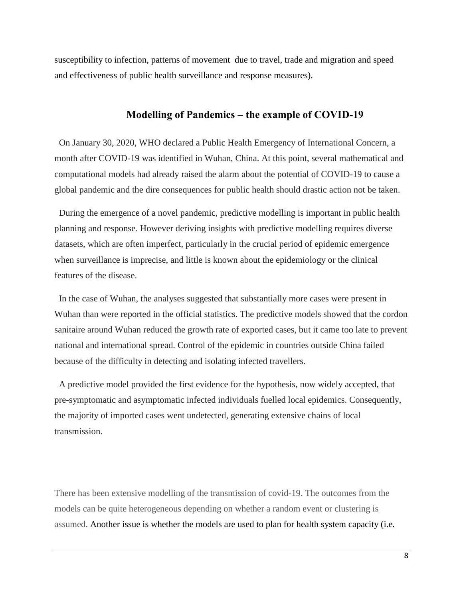susceptibility to infection, patterns of movement due to travel, trade and migration and speed and effectiveness of public health surveillance and response measures).

### **Modelling of Pandemics – the example of COVID-19**

On January 30, 2020, WHO declared a Public Health Emergency of International Concern, a month after COVID-19 was identified in Wuhan, China. At this point, several mathematical and computational models had already raised the alarm about the potential of COVID-19 to cause a global pandemic and the dire consequences for public health should drastic action not be taken.

During the emergence of a novel pandemic, predictive modelling is important in public health planning and response. However deriving insights with predictive modelling requires diverse datasets, which are often imperfect, particularly in the crucial period of epidemic emergence when surveillance is imprecise, and little is known about the epidemiology or the clinical features of the disease.

In the case of Wuhan, the analyses suggested that substantially more cases were present in Wuhan than were reported in the official statistics. The predictive models showed that the cordon sanitaire around Wuhan reduced the growth rate of exported cases, but it came too late to prevent national and international spread. Control of the epidemic in countries outside China failed because of the difficulty in detecting and isolating infected travellers.

A predictive model provided the first evidence for the hypothesis, now widely accepted, that pre-symptomatic and asymptomatic infected individuals fuelled local epidemics. Consequently, the majority of imported cases went undetected, generating extensive chains of local transmission.

There has been extensive modelling of the transmission of covid-19. The outcomes from the models can be quite heterogeneous depending on whether a random event or clustering is assumed. Another issue is whether the models are used to plan for health system capacity (i.e.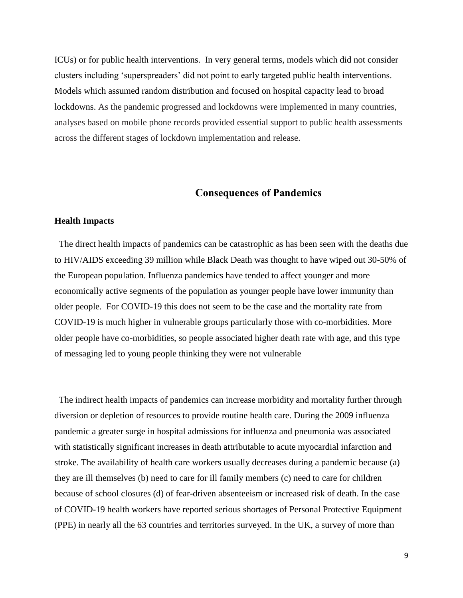ICUs) or for public health interventions. In very general terms, models which did not consider clusters including 'superspreaders' did not point to early targeted public health interventions. Models which assumed random distribution and focused on hospital capacity lead to broad lockdowns. As the pandemic progressed and lockdowns were implemented in many countries, analyses based on mobile phone records provided essential support to public health assessments across the different stages of lockdown implementation and release.

### **Consequences of Pandemics**

### **Health Impacts**

The direct health impacts of pandemics can be catastrophic as has been seen with the deaths due to HIV/AIDS exceeding 39 million while Black Death was thought to have wiped out 30-50% of the European population. Influenza pandemics have tended to affect younger and more economically active segments of the population as younger people have lower immunity than older people. For COVID-19 this does not seem to be the case and the mortality rate from COVID-19 is much higher in vulnerable groups particularly those with co-morbidities. More older people have co-morbidities, so people associated higher death rate with age, and this type of messaging led to young people thinking they were not vulnerable

The indirect health impacts of pandemics can increase morbidity and mortality further through diversion or depletion of resources to provide routine health care. During the 2009 influenza pandemic a greater surge in hospital admissions for influenza and pneumonia was associated with statistically significant increases in death attributable to acute myocardial infarction and stroke. The availability of health care workers usually decreases during a pandemic because (a) they are ill themselves (b) need to care for ill family members (c) need to care for children because of school closures (d) of fear-driven absenteeism or increased risk of death. In the case of COVID-19 health workers have reported serious shortages of Personal Protective Equipment (PPE) in nearly all the 63 countries and territories surveyed. In the UK, a survey of more than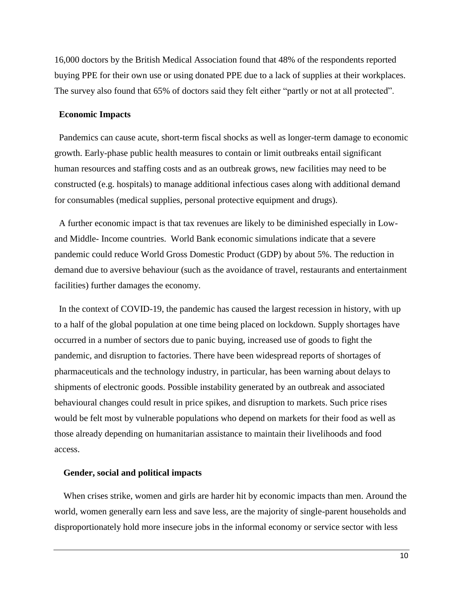16,000 doctors by the British Medical Association found that 48% of the respondents reported buying PPE for their own use or using donated PPE due to a lack of supplies at their workplaces. The survey also found that 65% of doctors said they felt either "partly or not at all protected".

### **Economic Impacts**

Pandemics can cause acute, short-term fiscal shocks as well as longer-term damage to economic growth. Early-phase public health measures to contain or limit outbreaks entail significant human resources and staffing costs and as an outbreak grows, new facilities may need to be constructed (e.g. hospitals) to manage additional infectious cases along with additional demand for consumables (medical supplies, personal protective equipment and drugs).

A further economic impact is that tax revenues are likely to be diminished especially in Lowand Middle- Income countries. World Bank economic simulations indicate that a severe pandemic could reduce World Gross Domestic Product (GDP) by about 5%. The reduction in demand due to aversive behaviour (such as the avoidance of travel, restaurants and entertainment facilities) further damages the economy.

In the context of COVID-19, the pandemic has caused the largest recession in history, with up to a half of the global population at one time being placed on lockdown. Supply shortages have occurred in a number of sectors due to panic buying, increased use of goods to fight the pandemic, and disruption to factories. There have been widespread reports of shortages of pharmaceuticals and the technology industry, in particular, has been warning about delays to shipments of electronic goods. Possible instability generated by an outbreak and associated behavioural changes could result in price spikes, and disruption to markets. Such price rises would be felt most by vulnerable populations who depend on markets for their food as well as those already depending on humanitarian assistance to maintain their livelihoods and food access.

### **Gender, social and political impacts**

When crises strike, women and girls are harder hit by economic impacts than men. Around the world, women generally earn less and save less, are the majority of single-parent households and disproportionately hold more insecure jobs in the informal economy or service sector with less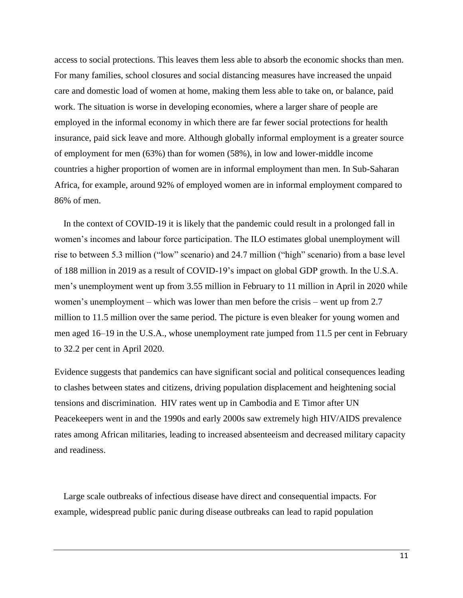access to social protections. This leaves them less able to absorb the economic shocks than men. For many families, school closures and social distancing measures have increased the unpaid care and domestic load of women at home, making them less able to take on, or balance, paid work. The situation is worse in developing economies, where a larger share of people are employed in the informal economy in which there are far fewer social protections for health insurance, paid sick leave and more. Although globally informal employment is a greater source of employment for men (63%) than for women (58%), in low and lower-middle income countries a higher proportion of women are in informal employment than men. In Sub-Saharan Africa, for example, around 92% of employed women are in informal employment compared to 86% of men.

In the context of COVID-19 it is likely that the pandemic could result in a prolonged fall in women's incomes and labour force participation. The ILO estimates global unemployment will rise to between 5.3 million ("low" scenario) and 24.7 million ("high" scenario) from a base level of 188 million in 2019 as a result of COVID-19's impact on global GDP growth. In the U.S.A. men's unemployment went up from 3.55 million in February to 11 million in April in 2020 while women's unemployment – which was lower than men before the crisis – went up from 2.7 million to 11.5 million over the same period. The picture is even bleaker for young women and men aged 16–19 in the U.S.A., whose unemployment rate jumped from 11.5 per cent in February to 32.2 per cent in April 2020.

Evidence suggests that pandemics can have significant social and political consequences leading to clashes between states and citizens, driving population displacement and heightening social tensions and discrimination. HIV rates went up in Cambodia and E Timor after UN Peacekeepers went in and the 1990s and early 2000s saw extremely high HIV/AIDS prevalence rates among African militaries, leading to increased absenteeism and decreased military capacity and readiness.

Large scale outbreaks of infectious disease have direct and consequential impacts. For example, widespread public panic during disease outbreaks can lead to rapid population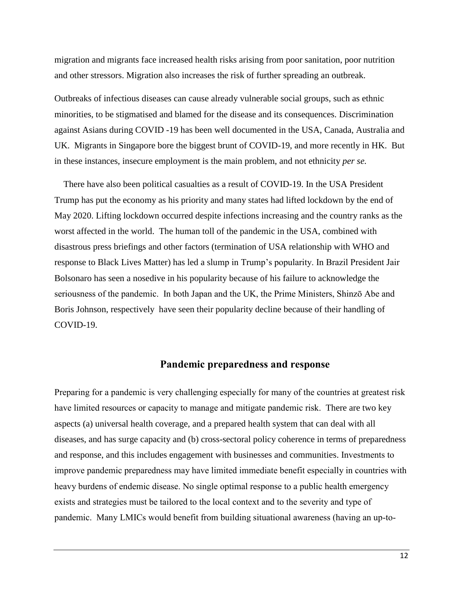migration and migrants face increased health risks arising from poor sanitation, poor nutrition and other stressors. Migration also increases the risk of further spreading an outbreak.

Outbreaks of infectious diseases can cause already vulnerable social groups, such as ethnic minorities, to be stigmatised and blamed for the disease and its consequences. Discrimination against Asians during COVID -19 has been well documented in the USA, Canada, Australia and UK. Migrants in Singapore bore the biggest brunt of COVID-19, and more recently in HK. But in these instances, insecure employment is the main problem, and not ethnicity *per se.*

There have also been political casualties as a result of COVID-19. In the USA President Trump has put the economy as his priority and many states had lifted lockdown by the end of May 2020. Lifting lockdown occurred despite infections increasing and the country ranks as the worst affected in the world. The human toll of the pandemic in the USA, combined with disastrous press briefings and other factors (termination of USA relationship with WHO and response to Black Lives Matter) has led a slump in Trump's popularity. In Brazil President Jair Bolsonaro has seen a nosedive in his popularity because of his failure to acknowledge the seriousness of the pandemic. In both Japan and the UK, the Prime Ministers, Shinzō Abe and Boris Johnson, respectively have seen their popularity decline because of their handling of COVID-19.

## **Pandemic preparedness and response**

Preparing for a pandemic is very challenging especially for many of the countries at greatest risk have limited resources or capacity to manage and mitigate pandemic risk. There are two key aspects (a) universal health coverage, and a prepared health system that can deal with all diseases, and has surge capacity and (b) cross-sectoral policy coherence in terms of preparedness and response, and this includes engagement with businesses and communities. Investments to improve pandemic preparedness may have limited immediate benefit especially in countries with heavy burdens of endemic disease. No single optimal response to a public health emergency exists and strategies must be tailored to the local context and to the severity and type of pandemic. Many LMICs would benefit from building situational awareness (having an up-to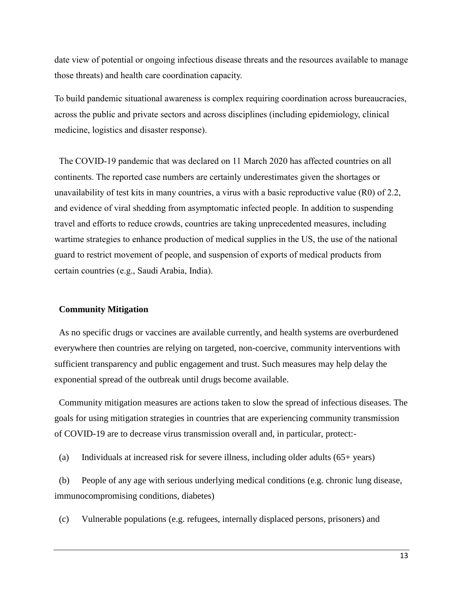date view of potential or ongoing infectious disease threats and the resources available to manage those threats) and health care coordination capacity.

To build pandemic situational awareness is complex requiring coordination across bureaucracies, across the public and private sectors and across disciplines (including epidemiology, clinical medicine, logistics and disaster response).

The COVID-19 pandemic that was declared on 11 March 2020 has affected countries on all continents. The reported case numbers are certainly underestimates given the shortages or unavailability of test kits in many countries, a virus with a basic reproductive value (R0) of 2.2, and evidence of viral shedding from asymptomatic infected people. In addition to suspending travel and efforts to reduce crowds, countries are taking unprecedented measures, including wartime strategies to enhance production of medical supplies in the US, the use of the national guard to restrict movement of people, and suspension of exports of medical products from certain countries (e.g., Saudi Arabia, India).

### **Community Mitigation**

As no specific drugs or vaccines are available currently, and health systems are overburdened everywhere then countries are relying on targeted, non-coercive, community interventions with sufficient transparency and public engagement and trust. Such measures may help delay the exponential spread of the outbreak until drugs become available.

Community mitigation measures are actions taken to slow the spread of infectious diseases. The goals for using mitigation strategies in countries that are experiencing community transmission of COVID-19 are to decrease virus transmission overall and, in particular, protect:-

(a) Individuals at increased risk for severe illness, including older adults (65+ years)

(b) People of any age with serious underlying medical conditions (e.g. chronic lung disease, immunocompromising conditions, diabetes)

(c) Vulnerable populations (e.g. refugees, internally displaced persons, prisoners) and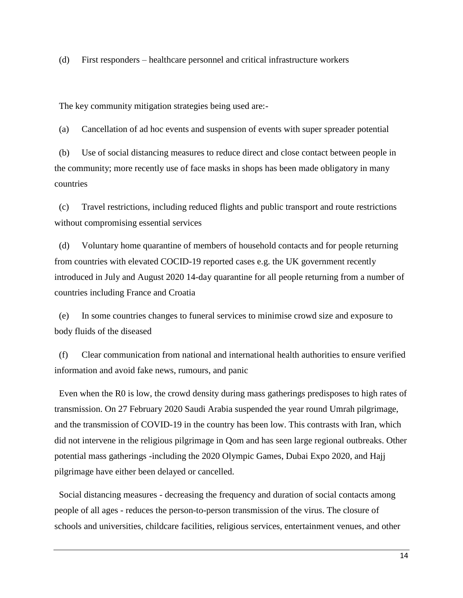(d) First responders – healthcare personnel and critical infrastructure workers

The key community mitigation strategies being used are:-

(a) Cancellation of ad hoc events and suspension of events with super spreader potential

(b) Use of social distancing measures to reduce direct and close contact between people in the community; more recently use of face masks in shops has been made obligatory in many countries

(c) Travel restrictions, including reduced flights and public transport and route restrictions without compromising essential services

(d) Voluntary home quarantine of members of household contacts and for people returning from countries with elevated COCID-19 reported cases e.g. the UK government recently introduced in July and August 2020 14-day quarantine for all people returning from a number of countries including France and Croatia

(e) In some countries changes to funeral services to minimise crowd size and exposure to body fluids of the diseased

(f) Clear communication from national and international health authorities to ensure verified information and avoid fake news, rumours, and panic

Even when the R0 is low, the crowd density during mass gatherings predisposes to high rates of transmission. On 27 February 2020 Saudi Arabia suspended the year round Umrah pilgrimage, and the transmission of COVID-19 in the country has been low. This contrasts with Iran, which did not intervene in the religious pilgrimage in Qom and has seen large regional outbreaks. Other potential mass gatherings -including the 2020 Olympic Games, Dubai Expo 2020, and Hajj pilgrimage have either been delayed or cancelled.

Social distancing measures - decreasing the frequency and duration of social contacts among people of all ages - reduces the person-to-person transmission of the virus. The closure of schools and universities, childcare facilities, religious services, entertainment venues, and other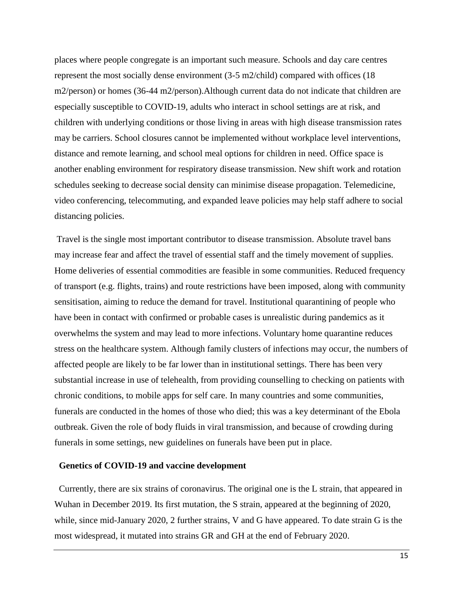places where people congregate is an important such measure. Schools and day care centres represent the most socially dense environment (3-5 m2/child) compared with offices (18 m2/person) or homes (36-44 m2/person).Although current data do not indicate that children are especially susceptible to COVID-19, adults who interact in school settings are at risk, and children with underlying conditions or those living in areas with high disease transmission rates may be carriers. School closures cannot be implemented without workplace level interventions, distance and remote learning, and school meal options for children in need. Office space is another enabling environment for respiratory disease transmission. New shift work and rotation schedules seeking to decrease social density can minimise disease propagation. Telemedicine, video conferencing, telecommuting, and expanded leave policies may help staff adhere to social distancing policies.

Travel is the single most important contributor to disease transmission. Absolute travel bans may increase fear and affect the travel of essential staff and the timely movement of supplies. Home deliveries of essential commodities are feasible in some communities. Reduced frequency of transport (e.g. flights, trains) and route restrictions have been imposed, along with community sensitisation, aiming to reduce the demand for travel. Institutional quarantining of people who have been in contact with confirmed or probable cases is unrealistic during pandemics as it overwhelms the system and may lead to more infections. Voluntary home quarantine reduces stress on the healthcare system. Although family clusters of infections may occur, the numbers of affected people are likely to be far lower than in institutional settings. There has been very substantial increase in use of telehealth, from providing counselling to checking on patients with chronic conditions, to mobile apps for self care. In many countries and some communities, funerals are conducted in the homes of those who died; this was a key determinant of the Ebola outbreak. Given the role of body fluids in viral transmission, and because of crowding during funerals in some settings, new guidelines on funerals have been put in place.

#### **Genetics of COVID-19 and vaccine development**

Currently, there are six strains of coronavirus. The original one is the L strain, that appeared in Wuhan in December 2019. Its first mutation, the S strain, appeared at the beginning of 2020, while, since mid-January 2020, 2 further strains, V and G have appeared. To date strain G is the most widespread, it mutated into strains GR and GH at the end of February 2020.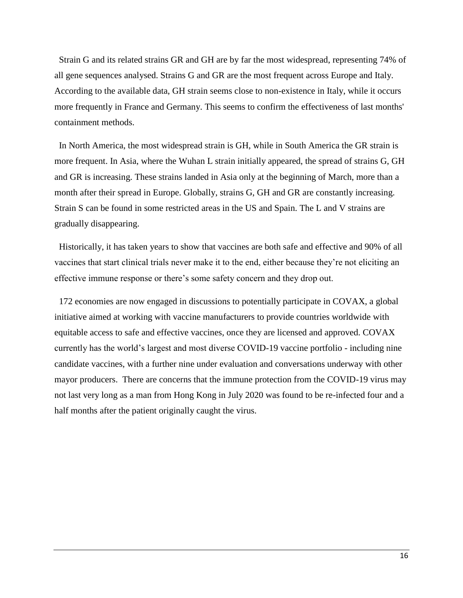Strain G and its related strains GR and GH are by far the most widespread, representing 74% of all gene sequences analysed. Strains G and GR are the most frequent across Europe and Italy. According to the available data, GH strain seems close to non-existence in Italy, while it occurs more frequently in France and Germany. This seems to confirm the effectiveness of last months' containment methods.

In North America, the most widespread strain is GH, while in South America the GR strain is more frequent. In Asia, where the Wuhan L strain initially appeared, the spread of strains G, GH and GR is increasing. These strains landed in Asia only at the beginning of March, more than a month after their spread in Europe. Globally, strains G, GH and GR are constantly increasing. Strain S can be found in some restricted areas in the US and Spain. The L and V strains are gradually disappearing.

Historically, it has taken years to show that vaccines are both safe and effective and 90% of all vaccines that start clinical trials never make it to the end, either because they're not eliciting an effective immune response or there's some safety concern and they drop out.

172 economies are now engaged in discussions to potentially participate in COVAX, a global initiative aimed at working with vaccine manufacturers to provide countries worldwide with equitable access to safe and effective vaccines, once they are licensed and approved. COVAX currently has the world's largest and most diverse COVID-19 vaccine portfolio - including nine candidate vaccines, with a further nine under evaluation and conversations underway with other mayor producers. There are concerns that the immune protection from the COVID-19 virus may not last very long as a man from Hong Kong in July 2020 was found to be re-infected four and a half months after the patient originally caught the virus.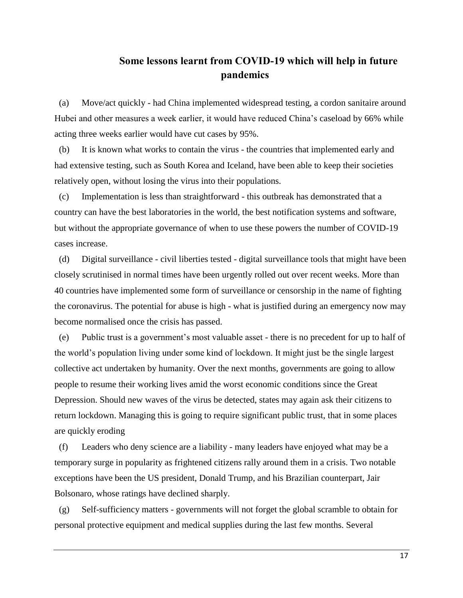# **Some lessons learnt from COVID-19 which will help in future pandemics**

(a) Move/act quickly - had China implemented widespread testing, a cordon sanitaire around Hubei and other measures a week earlier, it would have reduced China's caseload by 66% while acting three weeks earlier would have cut cases by 95%.

(b) It is known what works to contain the virus - the countries that implemented early and had extensive testing, such as South Korea and Iceland, have been able to keep their societies relatively open, without losing the virus into their populations.

(c) Implementation is less than straightforward - this outbreak has demonstrated that a country can have the best laboratories in the world, the best notification systems and software, but without the appropriate governance of when to use these powers the number of COVID-19 cases increase.

(d) Digital surveillance - civil liberties tested - digital surveillance tools that might have been closely scrutinised in normal times have been urgently rolled out over recent weeks. More than 40 countries have implemented some form of surveillance or censorship in the name of fighting the coronavirus. The potential for abuse is high - what is justified during an emergency now may become normalised once the crisis has passed.

(e) Public trust is a government's most valuable asset - there is no precedent for up to half of the world's population living under some kind of lockdown. It might just be the single largest collective act undertaken by humanity. Over the next months, governments are going to allow people to resume their working lives amid the worst economic conditions since the Great Depression. Should new waves of the virus be detected, states may again ask their citizens to return lockdown. Managing this is going to require significant public trust, that in some places are quickly eroding

(f) Leaders who deny science are a liability - many leaders have enjoyed what may be a temporary surge in popularity as frightened citizens rally around them in a crisis. Two notable exceptions have been the US president, Donald Trump, and his Brazilian counterpart, Jair Bolsonaro, whose ratings have declined sharply.

(g) Self-sufficiency matters - governments will not forget the global scramble to obtain for personal protective equipment and medical supplies during the last few months. Several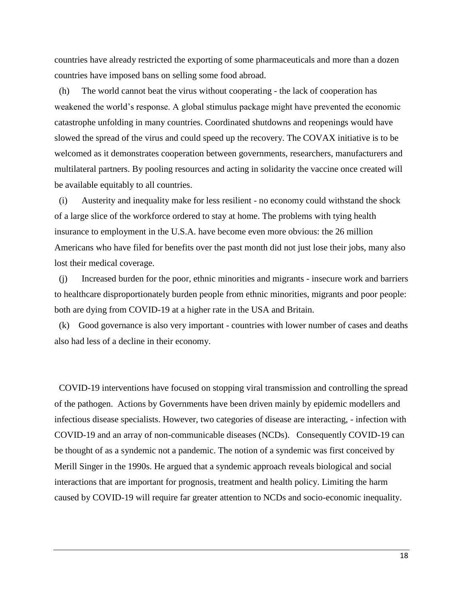countries have already restricted the exporting of some pharmaceuticals and more than a dozen countries have imposed bans on selling some food abroad.

(h) The world cannot beat the virus without cooperating - the lack of cooperation has weakened the world's response. A global stimulus package might have prevented the economic catastrophe unfolding in many countries. Coordinated shutdowns and reopenings would have slowed the spread of the virus and could speed up the recovery. The COVAX initiative is to be welcomed as it demonstrates cooperation between governments, researchers, manufacturers and multilateral partners. By pooling resources and acting in solidarity the vaccine once created will be available equitably to all countries.

(i) Austerity and inequality make for less resilient - no economy could withstand the shock of a large slice of the workforce ordered to stay at home. The problems with tying health insurance to employment in the U.S.A. have become even more obvious: the 26 million Americans who have filed for benefits over the past month did not just lose their jobs, many also lost their medical coverage.

(j) Increased burden for the poor, ethnic minorities and migrants - insecure work and barriers to healthcare disproportionately burden people from ethnic minorities, migrants and poor people: both are dying from COVID-19 at a higher rate in the USA and Britain.

(k) Good governance is also very important - countries with lower number of cases and deaths also had less of a decline in their economy.

COVID-19 interventions have focused on stopping viral transmission and controlling the spread of the pathogen. Actions by Governments have been driven mainly by epidemic modellers and infectious disease specialists. However, two categories of disease are interacting, - infection with COVID-19 and an array of non-communicable diseases (NCDs). Consequently COVID-19 can be thought of as a syndemic not a pandemic. The notion of a syndemic was first conceived by Merill Singer in the 1990s. He argued that a syndemic approach reveals biological and social interactions that are important for prognosis, treatment and health policy. Limiting the harm caused by COVID-19 will require far greater attention to NCDs and socio-economic inequality.